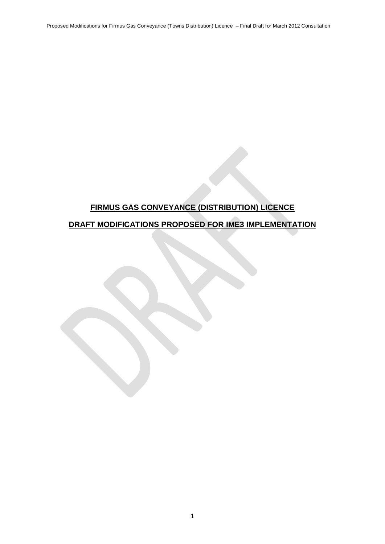# **FIRMUS GAS CONVEYANCE (DISTRIBUTION) LICENCE**

# **DRAFT MODIFICATIONS PROPOSED FOR IME3 IMPLEMENTATION**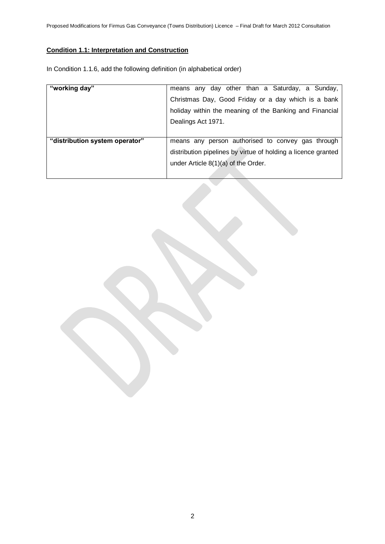# **Condition 1.1: Interpretation and Construction**

In Condition 1.1.6, add the following definition (in alphabetical order)

| "working day"                  | means any day other than a Saturday, a Sunday,                |
|--------------------------------|---------------------------------------------------------------|
|                                | Christmas Day, Good Friday or a day which is a bank           |
|                                | holiday within the meaning of the Banking and Financial       |
|                                | Dealings Act 1971.                                            |
|                                |                                                               |
| "distribution system operator" | means any person authorised to convey gas through             |
|                                | distribution pipelines by virtue of holding a licence granted |
|                                | under Article 8(1)(a) of the Order.                           |
|                                |                                                               |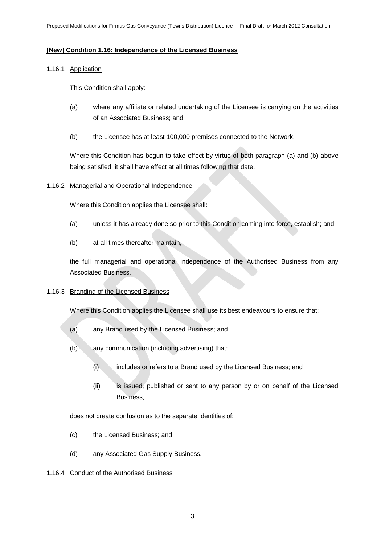# **[New] Condition 1.16: Independence of the Licensed Business**

### 1.16.1 Application

This Condition shall apply:

- (a) where any affiliate or related undertaking of the Licensee is carrying on the activities of an Associated Business; and
- (b) the Licensee has at least 100,000 premises connected to the Network.

Where this Condition has begun to take effect by virtue of both paragraph (a) and (b) above being satisfied, it shall have effect at all times following that date.

# 1.16.2 Managerial and Operational Independence

Where this Condition applies the Licensee shall:

- (a) unless it has already done so prior to this Condition coming into force, establish; and
- (b) at all times thereafter maintain,

the full managerial and operational independence of the Authorised Business from any Associated Business.

# 1.16.3 Branding of the Licensed Business

Where this Condition applies the Licensee shall use its best endeavours to ensure that:

- (a) any Brand used by the Licensed Business; and
- (b) any communication (including advertising) that:
	- (i) includes or refers to a Brand used by the Licensed Business; and
	- (ii) is issued, published or sent to any person by or on behalf of the Licensed Business,

does not create confusion as to the separate identities of:

- (c) the Licensed Business; and
- (d) any Associated Gas Supply Business.

# 1.16.4 Conduct of the Authorised Business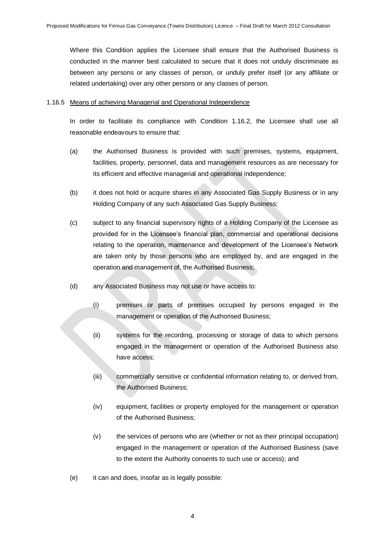Where this Condition applies the Licensee shall ensure that the Authorised Business is conducted in the manner best calculated to secure that it does not unduly discriminate as between any persons or any classes of person, or unduly prefer itself (or any affiliate or related undertaking) over any other persons or any classes of person.

#### 1.16.5 Means of achieving Managerial and Operational Independence

In order to facilitate its compliance with Condition 1.16.2, the Licensee shall use all reasonable endeavours to ensure that:

- (a) the Authorised Business is provided with such premises, systems, equipment, facilities, property, personnel, data and management resources as are necessary for its efficient and effective managerial and operational independence;
- (b) it does not hold or acquire shares in any Associated Gas Supply Business or in any Holding Company of any such Associated Gas Supply Business;
- (c) subject to any financial supervisory rights of a Holding Company of the Licensee as provided for in the Licensee"s financial plan, commercial and operational decisions relating to the operation, maintenance and development of the Licensee"s Network are taken only by those persons who are employed by, and are engaged in the operation and management of, the Authorised Business;
- (d) any Associated Business may not use or have access to:
	- (i) premises or parts of premises occupied by persons engaged in the management or operation of the Authorised Business;
	- (ii) systems for the recording, processing or storage of data to which persons engaged in the management or operation of the Authorised Business also have access;
	- (iii) commercially sensitive or confidential information relating to, or derived from, the Authorised Business;
	- (iv) equipment, facilities or property employed for the management or operation of the Authorised Business;
	- (v) the services of persons who are (whether or not as their principal occupation) engaged in the management or operation of the Authorised Business (save to the extent the Authority consents to such use or access); and
- (e) it can and does, insofar as is legally possible: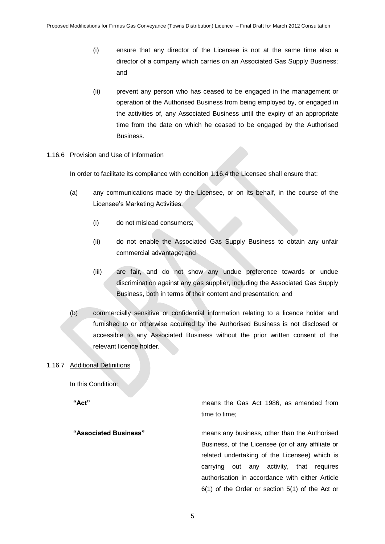- (i) ensure that any director of the Licensee is not at the same time also a director of a company which carries on an Associated Gas Supply Business; and
- (ii) prevent any person who has ceased to be engaged in the management or operation of the Authorised Business from being employed by, or engaged in the activities of, any Associated Business until the expiry of an appropriate time from the date on which he ceased to be engaged by the Authorised Business.

#### 1.16.6 Provision and Use of Information

In order to facilitate its compliance with condition 1.16.4 the Licensee shall ensure that:

- (a) any communications made by the Licensee, or on its behalf, in the course of the Licensee's Marketing Activities:
	- (i) do not mislead consumers;
	- (ii) do not enable the Associated Gas Supply Business to obtain any unfair commercial advantage; and
	- (iii) are fair, and do not show any undue preference towards or undue discrimination against any gas supplier, including the Associated Gas Supply Business, both in terms of their content and presentation; and
- (b) commercially sensitive or confidential information relating to a licence holder and furnished to or otherwise acquired by the Authorised Business is not disclosed or accessible to any Associated Business without the prior written consent of the relevant licence holder.

### 1.16.7 Additional Definitions

In this Condition:

**"Act"** means the Gas Act 1986, as amended from time to time;

**"Associated Business"** means any business, other than the Authorised Business, of the Licensee (or of any affiliate or related undertaking of the Licensee) which is carrying out any activity, that requires authorisation in accordance with either Article 6(1) of the Order or section 5(1) of the Act or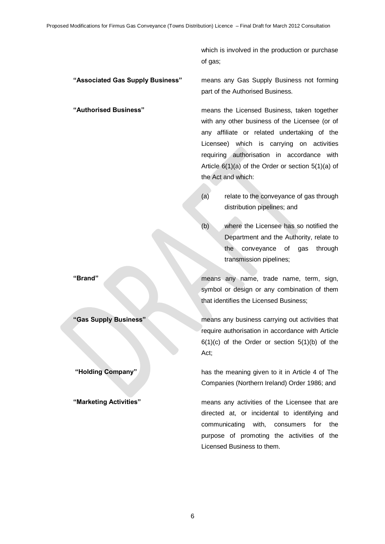which is involved in the production or purchase of gas;

**"Associated Gas Supply Business"** means any Gas Supply Business not forming part of the Authorised Business.

**"Authorised Business"** means the Licensed Business, taken together with any other business of the Licensee (or of any affiliate or related undertaking of the Licensee) which is carrying on activities requiring authorisation in accordance with Article 6(1)(a) of the Order or section 5(1)(a) of the Act and which:

- (a) relate to the conveyance of gas through distribution pipelines; and
- (b) where the Licensee has so notified the Department and the Authority, relate to the conveyance of gas through transmission pipelines;

**"Brand"** means any name, trade name, term, sign, symbol or design or any combination of them that identifies the Licensed Business;

**"Gas Supply Business"** means any business carrying out activities that require authorisation in accordance with Article  $6(1)(c)$  of the Order or section  $5(1)(b)$  of the Act;

**"Holding Company"** has the meaning given to it in Article 4 of The Companies (Northern Ireland) Order 1986; and

**"Marketing Activities"** means any activities of the Licensee that are directed at, or incidental to identifying and communicating with, consumers for the purpose of promoting the activities of the Licensed Business to them.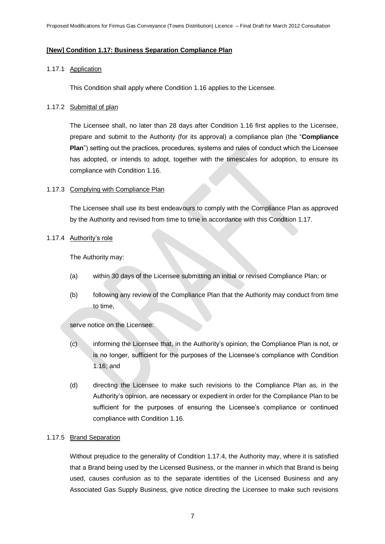# **[New] Condition 1.17: Business Separation Compliance Plan**

### 1.17.1 Application

This Condition shall apply where Condition 1.16 applies to the Licensee.

### 1.17.2 Submittal of plan

The Licensee shall, no later than 28 days after Condition 1.16 first applies to the Licensee, prepare and submit to the Authority (for its approval) a compliance plan (the "**Compliance Plan**") setting out the practices, procedures, systems and rules of conduct which the Licensee has adopted, or intends to adopt, together with the timescales for adoption, to ensure its compliance with Condition 1.16.

# 1.17.3 Complying with Compliance Plan

The Licensee shall use its best endeavours to comply with the Compliance Plan as approved by the Authority and revised from time to time in accordance with this Condition 1.17.

#### 1.17.4 Authority"s role

The Authority may:

- (a) within 30 days of the Licensee submitting an initial or revised Compliance Plan; or
- (b) following any review of the Compliance Plan that the Authority may conduct from time to time,

serve notice on the Licensee:

- (c) informing the Licensee that, in the Authority"s opinion, the Compliance Plan is not, or is no longer, sufficient for the purposes of the Licensee"s compliance with Condition 1.16; and
- (d) directing the Licensee to make such revisions to the Compliance Plan as, in the Authority"s opinion, are necessary or expedient in order for the Compliance Plan to be sufficient for the purposes of ensuring the Licensee's compliance or continued compliance with Condition 1.16.

# 1.17.5 Brand Separation

Without prejudice to the generality of Condition 1.17.4, the Authority may, where it is satisfied that a Brand being used by the Licensed Business, or the manner in which that Brand is being used, causes confusion as to the separate identities of the Licensed Business and any Associated Gas Supply Business, give notice directing the Licensee to make such revisions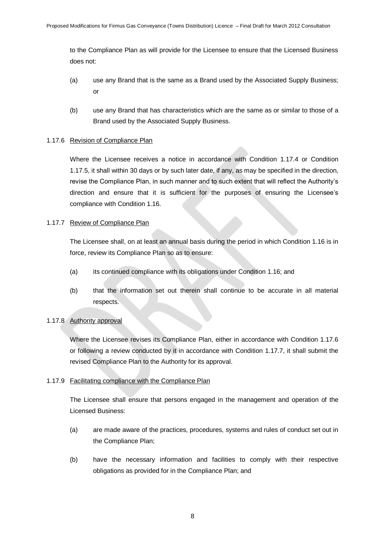to the Compliance Plan as will provide for the Licensee to ensure that the Licensed Business does not:

- (a) use any Brand that is the same as a Brand used by the Associated Supply Business; or
- (b) use any Brand that has characteristics which are the same as or similar to those of a Brand used by the Associated Supply Business.

# 1.17.6 Revision of Compliance Plan

Where the Licensee receives a notice in accordance with Condition 1.17.4 or Condition 1.17.5, it shall within 30 days or by such later date, if any, as may be specified in the direction, revise the Compliance Plan, in such manner and to such extent that will reflect the Authority"s direction and ensure that it is sufficient for the purposes of ensuring the Licensee"s compliance with Condition 1.16.

# 1.17.7 Review of Compliance Plan

The Licensee shall, on at least an annual basis during the period in which Condition 1.16 is in force, review its Compliance Plan so as to ensure:

- (a) its continued compliance with its obligations under Condition 1.16; and
- (b) that the information set out therein shall continue to be accurate in all material respects.

# 1.17.8 Authority approval

Where the Licensee revises its Compliance Plan, either in accordance with Condition 1.17.6 or following a review conducted by it in accordance with Condition 1.17.7, it shall submit the revised Compliance Plan to the Authority for its approval.

# 1.17.9 Facilitating compliance with the Compliance Plan

The Licensee shall ensure that persons engaged in the management and operation of the Licensed Business:

- (a) are made aware of the practices, procedures, systems and rules of conduct set out in the Compliance Plan;
- (b) have the necessary information and facilities to comply with their respective obligations as provided for in the Compliance Plan; and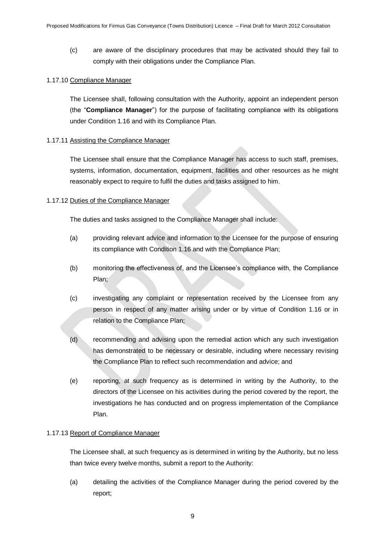(c) are aware of the disciplinary procedures that may be activated should they fail to comply with their obligations under the Compliance Plan.

### 1.17.10 Compliance Manager

The Licensee shall, following consultation with the Authority, appoint an independent person (the "**Compliance Manager**") for the purpose of facilitating compliance with its obligations under Condition 1.16 and with its Compliance Plan.

# 1.17.11 Assisting the Compliance Manager

The Licensee shall ensure that the Compliance Manager has access to such staff, premises, systems, information, documentation, equipment, facilities and other resources as he might reasonably expect to require to fulfil the duties and tasks assigned to him.

# 1.17.12 Duties of the Compliance Manager

The duties and tasks assigned to the Compliance Manager shall include:

- (a) providing relevant advice and information to the Licensee for the purpose of ensuring its compliance with Condition 1.16 and with the Compliance Plan;
- (b) monitoring the effectiveness of, and the Licensee"s compliance with, the Compliance Plan;
- (c) investigating any complaint or representation received by the Licensee from any person in respect of any matter arising under or by virtue of Condition 1.16 or in relation to the Compliance Plan;
- (d) recommending and advising upon the remedial action which any such investigation has demonstrated to be necessary or desirable, including where necessary revising the Compliance Plan to reflect such recommendation and advice; and
- (e) reporting, at such frequency as is determined in writing by the Authority, to the directors of the Licensee on his activities during the period covered by the report, the investigations he has conducted and on progress implementation of the Compliance Plan.

#### 1.17.13 Report of Compliance Manager

The Licensee shall, at such frequency as is determined in writing by the Authority, but no less than twice every twelve months, submit a report to the Authority:

(a) detailing the activities of the Compliance Manager during the period covered by the report;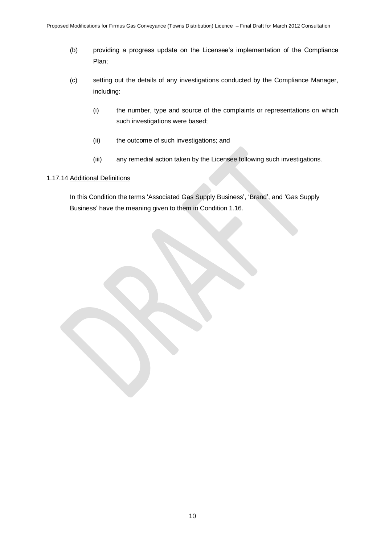- (b) providing a progress update on the Licensee"s implementation of the Compliance Plan;
- (c) setting out the details of any investigations conducted by the Compliance Manager, including:
	- (i) the number, type and source of the complaints or representations on which such investigations were based;
	- (ii) the outcome of such investigations; and
	- (iii) any remedial action taken by the Licensee following such investigations.

# 1.17.14 Additional Definitions

In this Condition the terms 'Associated Gas Supply Business', 'Brand', and 'Gas Supply Business" have the meaning given to them in Condition 1.16.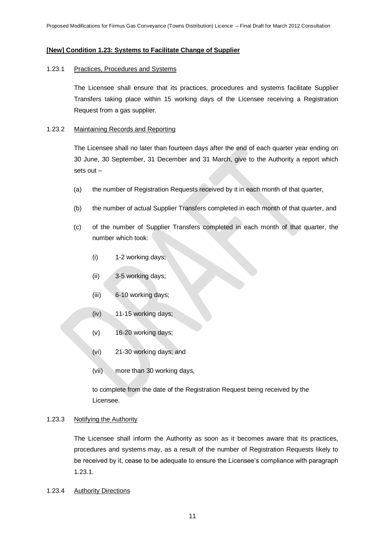# **[New] Condition 1.23: Systems to Facilitate Change of Supplier**

#### 1.23.1 Practices, Procedures and Systems

The Licensee shall ensure that its practices, procedures and systems facilitate Supplier Transfers taking place within 15 working days of the Licensee receiving a Registration Request from a gas supplier.

#### 1.23.2 Maintaining Records and Reporting

The Licensee shall no later than fourteen days after the end of each quarter year ending on 30 June, 30 September, 31 December and 31 March, give to the Authority a report which sets out –

- (a) the number of Registration Requests received by it in each month of that quarter,
- (b) the number of actual Supplier Transfers completed in each month of that quarter, and
- (c) of the number of Supplier Transfers completed in each month of that quarter, the number which took:
	- (i) 1-2 working days;
	- (ii) 3-5 working days;
	- (iii) 6-10 working days;
	- (iv) 11-15 working days;
	- (v) 16-20 working days;
	- (vi) 21-30 working days; and
	- (vii) more than 30 working days,

to complete from the date of the Registration Request being received by the Licensee.

#### 1.23.3 Notifying the Authority

The Licensee shall inform the Authority as soon as it becomes aware that its practices, procedures and systems may, as a result of the number of Registration Requests likely to be received by it, cease to be adequate to ensure the Licensee"s compliance with paragraph 1.23.1.

1.23.4 Authority Directions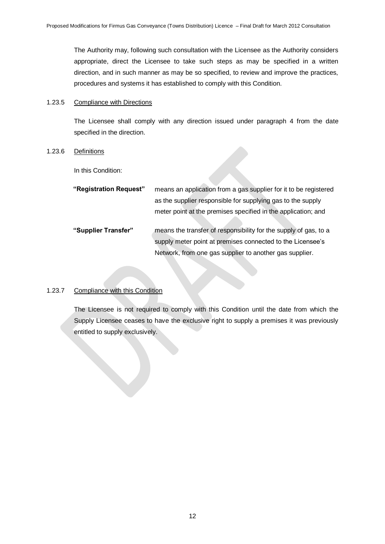The Authority may, following such consultation with the Licensee as the Authority considers appropriate, direct the Licensee to take such steps as may be specified in a written direction, and in such manner as may be so specified, to review and improve the practices, procedures and systems it has established to comply with this Condition.

#### 1.23.5 Compliance with Directions

The Licensee shall comply with any direction issued under paragraph 4 from the date specified in the direction.

# 1.23.6 Definitions

In this Condition:

| "Registration Request" | means an application from a gas supplier for it to be registered |
|------------------------|------------------------------------------------------------------|
|                        | as the supplier responsible for supplying gas to the supply      |
|                        | meter point at the premises specified in the application; and    |
| "Supplier Transfer"    | means the transfer of responsibility for the supply of gas, to a |
|                        | supply meter point at premises connected to the Licensee's       |
|                        | Network, from one gas supplier to another gas supplier.          |

# 1.23.7 Compliance with this Condition

The Licensee is not required to comply with this Condition until the date from which the Supply Licensee ceases to have the exclusive right to supply a premises it was previously entitled to supply exclusively.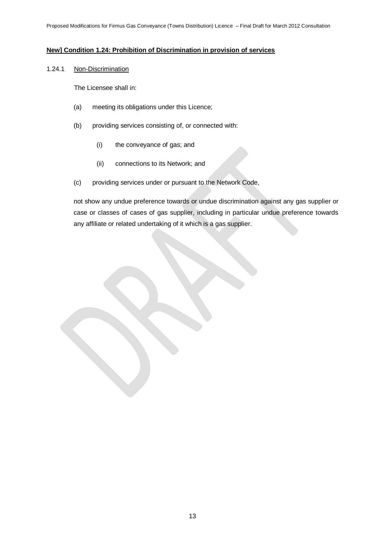# **New] Condition 1.24: Prohibition of Discrimination in provision of services**

# 1.24.1 Non-Discrimination

The Licensee shall in:

- (a) meeting its obligations under this Licence;
- (b) providing services consisting of, or connected with:
	- (i) the conveyance of gas; and
	- (ii) connections to its Network; and
- (c) providing services under or pursuant to the Network Code,

not show any undue preference towards or undue discrimination against any gas supplier or case or classes of cases of gas supplier, including in particular undue preference towards any affiliate or related undertaking of it which is a gas supplier.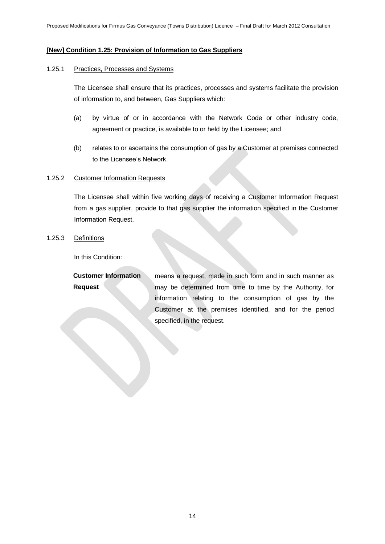# **[New] Condition 1.25: Provision of Information to Gas Suppliers**

# 1.25.1 Practices, Processes and Systems

The Licensee shall ensure that its practices, processes and systems facilitate the provision of information to, and between, Gas Suppliers which:

- (a) by virtue of or in accordance with the Network Code or other industry code, agreement or practice, is available to or held by the Licensee; and
- (b) relates to or ascertains the consumption of gas by a Customer at premises connected to the Licensee's Network.

#### 1.25.2 Customer Information Requests

The Licensee shall within five working days of receiving a Customer Information Request from a gas supplier, provide to that gas supplier the information specified in the Customer Information Request.

1.25.3 Definitions

In this Condition:

| <b>Customer Information</b> | means a request, made in such form and in such manner as  |  |
|-----------------------------|-----------------------------------------------------------|--|
| <b>Request</b>              | may be determined from time to time by the Authority, for |  |
|                             | information relating to the consumption of gas by the     |  |
|                             | Customer at the premises identified, and for the period   |  |
|                             | specified, in the request.                                |  |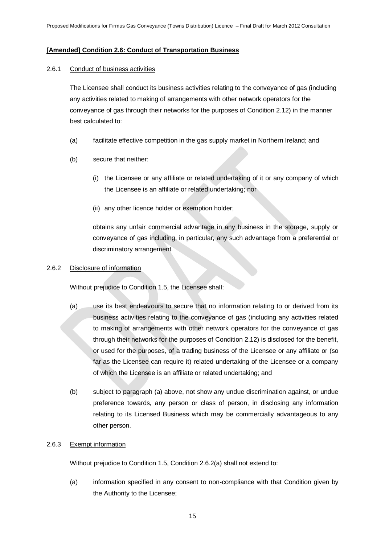# **[Amended] Condition 2.6: Conduct of Transportation Business**

#### 2.6.1 Conduct of business activities

The Licensee shall conduct its business activities relating to the conveyance of gas (including any activities related to making of arrangements with other network operators for the conveyance of gas through their networks for the purposes of Condition 2.12) in the manner best calculated to:

- (a) facilitate effective competition in the gas supply market in Northern Ireland; and
- (b) secure that neither:
	- (i) the Licensee or any affiliate or related undertaking of it or any company of which the Licensee is an affiliate or related undertaking; nor
	- (ii) any other licence holder or exemption holder;

obtains any unfair commercial advantage in any business in the storage, supply or conveyance of gas including, in particular, any such advantage from a preferential or discriminatory arrangement.

#### 2.6.2 Disclosure of information

Without prejudice to Condition 1.5, the Licensee shall:

- (a) use its best endeavours to secure that no information relating to or derived from its business activities relating to the conveyance of gas (including any activities related to making of arrangements with other network operators for the conveyance of gas through their networks for the purposes of Condition 2.12) is disclosed for the benefit, or used for the purposes, of a trading business of the Licensee or any affiliate or (so far as the Licensee can require it) related undertaking of the Licensee or a company of which the Licensee is an affiliate or related undertaking; and
- (b) subject to paragraph (a) above, not show any undue discrimination against, or undue preference towards, any person or class of person, in disclosing any information relating to its Licensed Business which may be commercially advantageous to any other person.

#### 2.6.3 Exempt information

Without prejudice to Condition 1.5, Condition 2.6.2(a) shall not extend to:

(a) information specified in any consent to non-compliance with that Condition given by the Authority to the Licensee;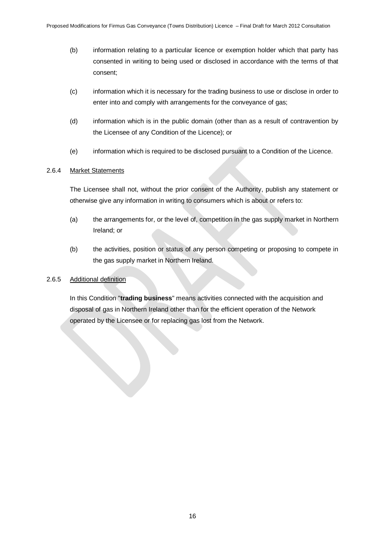- (b) information relating to a particular licence or exemption holder which that party has consented in writing to being used or disclosed in accordance with the terms of that consent;
- (c) information which it is necessary for the trading business to use or disclose in order to enter into and comply with arrangements for the conveyance of gas;
- (d) information which is in the public domain (other than as a result of contravention by the Licensee of any Condition of the Licence); or
- (e) information which is required to be disclosed pursuant to a Condition of the Licence.

# 2.6.4 Market Statements

The Licensee shall not, without the prior consent of the Authority, publish any statement or otherwise give any information in writing to consumers which is about or refers to:

- (a) the arrangements for, or the level of, competition in the gas supply market in Northern Ireland; or
- (b) the activities, position or status of any person competing or proposing to compete in the gas supply market in Northern Ireland.

# 2.6.5 Additional definition

In this Condition "**trading business**" means activities connected with the acquisition and disposal of gas in Northern Ireland other than for the efficient operation of the Network operated by the Licensee or for replacing gas lost from the Network.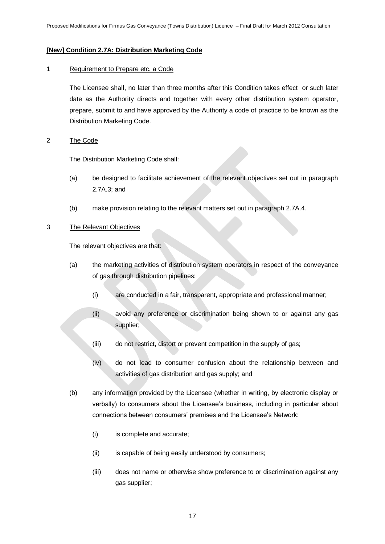# **[New] Condition 2.7A: Distribution Marketing Code**

# 1 Requirement to Prepare etc. a Code

The Licensee shall, no later than three months after this Condition takes effect or such later date as the Authority directs and together with every other distribution system operator, prepare, submit to and have approved by the Authority a code of practice to be known as the Distribution Marketing Code.

# 2 The Code

The Distribution Marketing Code shall:

- (a) be designed to facilitate achievement of the relevant objectives set out in paragraph 2.7A.3; and
- (b) make provision relating to the relevant matters set out in paragraph 2.7A.4.

#### 3 The Relevant Objectives

The relevant objectives are that:

- (a) the marketing activities of distribution system operators in respect of the conveyance of gas through distribution pipelines:
	- (i) are conducted in a fair, transparent, appropriate and professional manner;
	- (ii) avoid any preference or discrimination being shown to or against any gas supplier;
	- (iii) do not restrict, distort or prevent competition in the supply of gas;
	- (iv) do not lead to consumer confusion about the relationship between and activities of gas distribution and gas supply; and
- (b) any information provided by the Licensee (whether in writing, by electronic display or verbally) to consumers about the Licensee"s business, including in particular about connections between consumers' premises and the Licensee's Network:
	- (i) is complete and accurate;
	- (ii) is capable of being easily understood by consumers;
	- (iii) does not name or otherwise show preference to or discrimination against any gas supplier;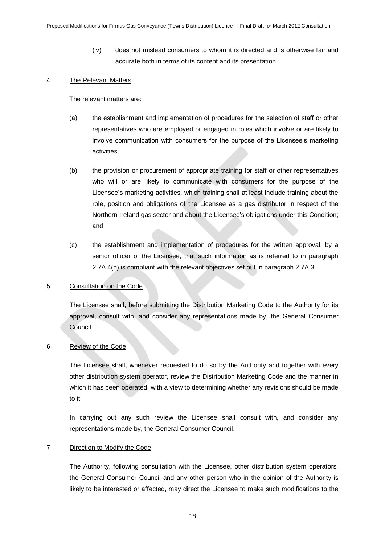(iv) does not mislead consumers to whom it is directed and is otherwise fair and accurate both in terms of its content and its presentation.

#### 4 The Relevant Matters

The relevant matters are:

- (a) the establishment and implementation of procedures for the selection of staff or other representatives who are employed or engaged in roles which involve or are likely to involve communication with consumers for the purpose of the Licensee's marketing activities;
- (b) the provision or procurement of appropriate training for staff or other representatives who will or are likely to communicate with consumers for the purpose of the Licensee"s marketing activities, which training shall at least include training about the role, position and obligations of the Licensee as a gas distributor in respect of the Northern Ireland gas sector and about the Licensee"s obligations under this Condition; and
- (c) the establishment and implementation of procedures for the written approval, by a senior officer of the Licensee, that such information as is referred to in paragraph 2.7A.4(b) is compliant with the relevant objectives set out in paragraph 2.7A.3.

# 5 Consultation on the Code

The Licensee shall, before submitting the Distribution Marketing Code to the Authority for its approval, consult with, and consider any representations made by, the General Consumer Council.

#### 6 Review of the Code

The Licensee shall, whenever requested to do so by the Authority and together with every other distribution system operator, review the Distribution Marketing Code and the manner in which it has been operated, with a view to determining whether any revisions should be made to it.

In carrying out any such review the Licensee shall consult with, and consider any representations made by, the General Consumer Council.

#### 7 Direction to Modify the Code

The Authority, following consultation with the Licensee, other distribution system operators, the General Consumer Council and any other person who in the opinion of the Authority is likely to be interested or affected, may direct the Licensee to make such modifications to the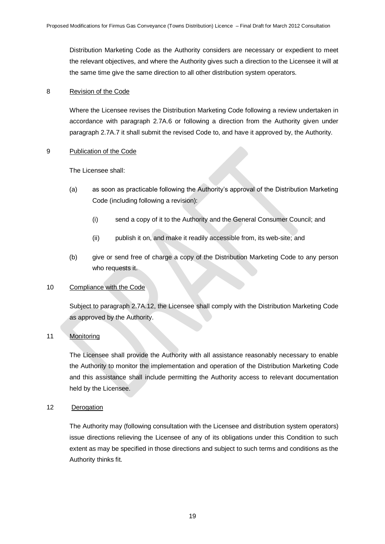Distribution Marketing Code as the Authority considers are necessary or expedient to meet the relevant objectives, and where the Authority gives such a direction to the Licensee it will at the same time give the same direction to all other distribution system operators.

# 8 Revision of the Code

Where the Licensee revises the Distribution Marketing Code following a review undertaken in accordance with paragraph 2.7A.6 or following a direction from the Authority given under paragraph 2.7A.7 it shall submit the revised Code to, and have it approved by, the Authority.

# 9 Publication of the Code

The Licensee shall:

- (a) as soon as practicable following the Authority"s approval of the Distribution Marketing Code (including following a revision):
	- (i) send a copy of it to the Authority and the General Consumer Council; and
	- (ii) publish it on, and make it readily accessible from, its web-site; and
- (b) give or send free of charge a copy of the Distribution Marketing Code to any person who requests it.

# 10 Compliance with the Code

Subject to paragraph 2.7A.12, the Licensee shall comply with the Distribution Marketing Code as approved by the Authority.

# 11 Monitoring

The Licensee shall provide the Authority with all assistance reasonably necessary to enable the Authority to monitor the implementation and operation of the Distribution Marketing Code and this assistance shall include permitting the Authority access to relevant documentation held by the Licensee.

# 12 Derogation

The Authority may (following consultation with the Licensee and distribution system operators) issue directions relieving the Licensee of any of its obligations under this Condition to such extent as may be specified in those directions and subject to such terms and conditions as the Authority thinks fit.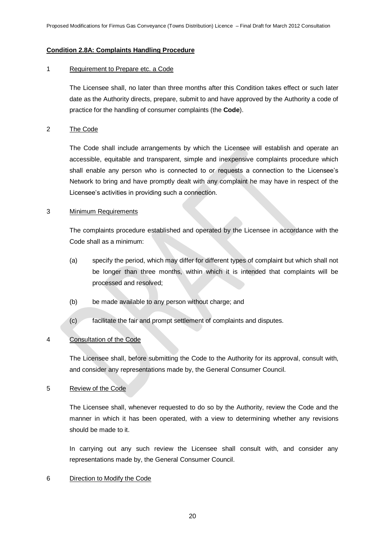# **Condition 2.8A: Complaints Handling Procedure**

#### 1 Requirement to Prepare etc. a Code

The Licensee shall, no later than three months after this Condition takes effect or such later date as the Authority directs, prepare, submit to and have approved by the Authority a code of practice for the handling of consumer complaints (the **Code**).

#### 2 The Code

The Code shall include arrangements by which the Licensee will establish and operate an accessible, equitable and transparent, simple and inexpensive complaints procedure which shall enable any person who is connected to or requests a connection to the Licensee"s Network to bring and have promptly dealt with any complaint he may have in respect of the Licensee"s activities in providing such a connection.

#### 3 Minimum Requirements

The complaints procedure established and operated by the Licensee in accordance with the Code shall as a minimum:

- (a) specify the period, which may differ for different types of complaint but which shall not be longer than three months, within which it is intended that complaints will be processed and resolved;
- (b) be made available to any person without charge; and
- (c) facilitate the fair and prompt settlement of complaints and disputes.

# 4 Consultation of the Code

The Licensee shall, before submitting the Code to the Authority for its approval, consult with, and consider any representations made by, the General Consumer Council.

#### 5 Review of the Code

The Licensee shall, whenever requested to do so by the Authority, review the Code and the manner in which it has been operated, with a view to determining whether any revisions should be made to it.

In carrying out any such review the Licensee shall consult with, and consider any representations made by, the General Consumer Council.

#### 6 Direction to Modify the Code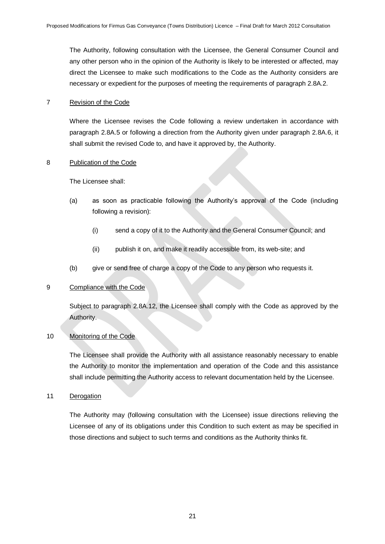The Authority, following consultation with the Licensee, the General Consumer Council and any other person who in the opinion of the Authority is likely to be interested or affected, may direct the Licensee to make such modifications to the Code as the Authority considers are necessary or expedient for the purposes of meeting the requirements of paragraph 2.8A.2.

# 7 Revision of the Code

Where the Licensee revises the Code following a review undertaken in accordance with paragraph 2.8A.5 or following a direction from the Authority given under paragraph 2.8A.6, it shall submit the revised Code to, and have it approved by, the Authority.

# 8 Publication of the Code

The Licensee shall:

- (a) as soon as practicable following the Authority"s approval of the Code (including following a revision):
	- (i) send a copy of it to the Authority and the General Consumer Council; and
	- (ii) publish it on, and make it readily accessible from, its web-site; and
- (b) give or send free of charge a copy of the Code to any person who requests it.

# 9 Compliance with the Code

Subject to paragraph 2.8A.12, the Licensee shall comply with the Code as approved by the Authority.

# 10 Monitoring of the Code

The Licensee shall provide the Authority with all assistance reasonably necessary to enable the Authority to monitor the implementation and operation of the Code and this assistance shall include permitting the Authority access to relevant documentation held by the Licensee.

# 11 Derogation

The Authority may (following consultation with the Licensee) issue directions relieving the Licensee of any of its obligations under this Condition to such extent as may be specified in those directions and subject to such terms and conditions as the Authority thinks fit.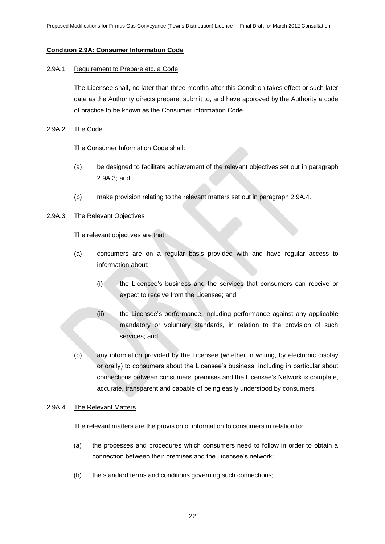# **Condition 2.9A: Consumer Information Code**

#### 2.9A.1 Requirement to Prepare etc. a Code

The Licensee shall, no later than three months after this Condition takes effect or such later date as the Authority directs prepare, submit to, and have approved by the Authority a code of practice to be known as the Consumer Information Code.

#### 2.9A.2 The Code

The Consumer Information Code shall:

- (a) be designed to facilitate achievement of the relevant objectives set out in paragraph 2.9A.3; and
- (b) make provision relating to the relevant matters set out in paragraph 2.9A.4.

# 2.9A.3 The Relevant Objectives

The relevant objectives are that:

- (a) consumers are on a regular basis provided with and have regular access to information about:
	- (i) the Licensee"s business and the services that consumers can receive or expect to receive from the Licensee; and
	- (ii) the Licensee"s performance, including performance against any applicable mandatory or voluntary standards, in relation to the provision of such services; and
- (b) any information provided by the Licensee (whether in writing, by electronic display or orally) to consumers about the Licensee"s business, including in particular about connections between consumers" premises and the Licensee"s Network is complete, accurate, transparent and capable of being easily understood by consumers.

#### 2.9A.4 The Relevant Matters

The relevant matters are the provision of information to consumers in relation to:

- (a) the processes and procedures which consumers need to follow in order to obtain a connection between their premises and the Licensee's network;
- (b) the standard terms and conditions governing such connections;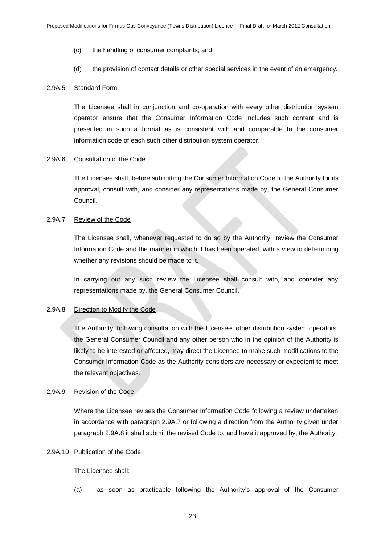- (c) the handling of consumer complaints; and
- (d) the provision of contact details or other special services in the event of an emergency.

#### 2.9A.5 Standard Form

The Licensee shall in conjunction and co-operation with every other distribution system operator ensure that the Consumer Information Code includes such content and is presented in such a format as is consistent with and comparable to the consumer information code of each such other distribution system operator.

# 2.9A.6 Consultation of the Code

The Licensee shall, before submitting the Consumer Information Code to the Authority for its approval, consult with, and consider any representations made by, the General Consumer Council.

#### 2.9A.7 Review of the Code

The Licensee shall, whenever requested to do so by the Authority review the Consumer Information Code and the manner in which it has been operated, with a view to determining whether any revisions should be made to it.

In carrying out any such review the Licensee shall consult with, and consider any representations made by, the General Consumer Council.

#### 2.9A.8 Direction to Modify the Code

The Authority, following consultation with the Licensee, other distribution system operators, the General Consumer Council and any other person who in the opinion of the Authority is likely to be interested or affected, may direct the Licensee to make such modifications to the Consumer Information Code as the Authority considers are necessary or expedient to meet the relevant objectives.

# 2.9A.9 Revision of the Code

Where the Licensee revises the Consumer Information Code following a review undertaken in accordance with paragraph 2.9A.7 or following a direction from the Authority given under paragraph 2.9A.8 it shall submit the revised Code to, and have it approved by, the Authority.

#### 2.9A.10 Publication of the Code

The Licensee shall:

(a) as soon as practicable following the Authority"s approval of the Consumer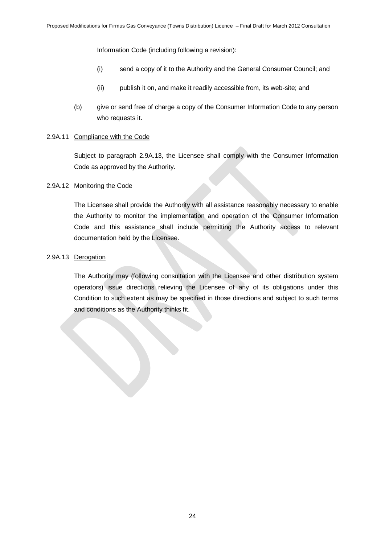Information Code (including following a revision):

- (i) send a copy of it to the Authority and the General Consumer Council; and
- (ii) publish it on, and make it readily accessible from, its web-site; and
- (b) give or send free of charge a copy of the Consumer Information Code to any person who requests it.

# 2.9A.11 Compliance with the Code

Subject to paragraph 2.9A.13, the Licensee shall comply with the Consumer Information Code as approved by the Authority.

#### 2.9A.12 Monitoring the Code

The Licensee shall provide the Authority with all assistance reasonably necessary to enable the Authority to monitor the implementation and operation of the Consumer Information Code and this assistance shall include permitting the Authority access to relevant documentation held by the Licensee.

# 2.9A.13 Derogation

The Authority may (following consultation with the Licensee and other distribution system operators) issue directions relieving the Licensee of any of its obligations under this Condition to such extent as may be specified in those directions and subject to such terms and conditions as the Authority thinks fit.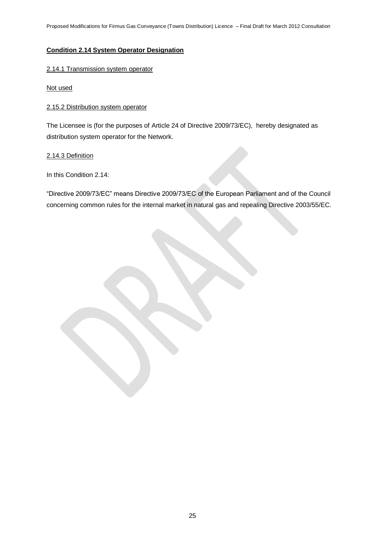# **Condition 2.14 System Operator Designation**

# 2.14.1 Transmission system operator

Not used

# 2.15.2 Distribution system operator

The Licensee is (for the purposes of Article 24 of Directive 2009/73/EC), hereby designated as distribution system operator for the Network.

# 2.14.3 Definition

In this Condition 2.14:

"Directive 2009/73/EC" means Directive 2009/73/EC of the European Parliament and of the Council concerning common rules for the internal market in natural gas and repealing Directive 2003/55/EC.